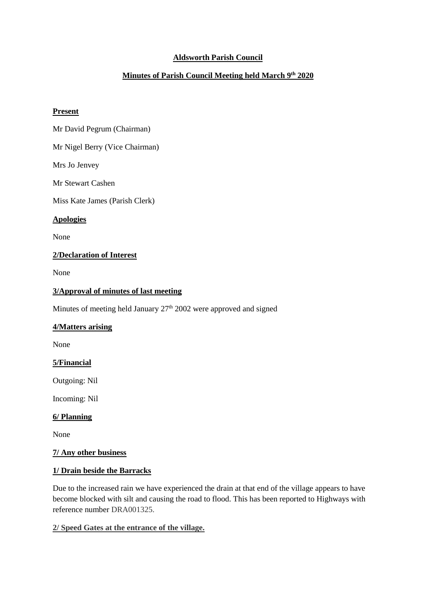# **Aldsworth Parish Council**

# **Minutes of Parish Council Meeting held March 9th 2020**

#### **Present**

Mr David Pegrum (Chairman)

Mr Nigel Berry (Vice Chairman)

Mrs Jo Jenvey

Mr Stewart Cashen

Miss Kate James (Parish Clerk)

#### **Apologies**

None

## **2/Declaration of Interest**

None

## **3/Approval of minutes of last meeting**

Minutes of meeting held January 27<sup>th</sup> 2002 were approved and signed

## **4/Matters arising**

None

## **5/Financial**

Outgoing: Nil

Incoming: Nil

## **6/ Planning**

None

## **7/ Any other business**

## **1/ Drain beside the Barracks**

Due to the increased rain we have experienced the drain at that end of the village appears to have become blocked with silt and causing the road to flood. This has been reported to Highways with reference number DRA001325.

## **2/ Speed Gates at the entrance of the village.**